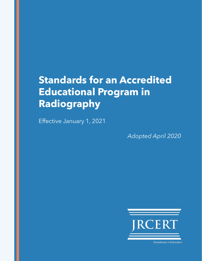# **Standards for an Accredited Educational Program in Radiography**

Effective January 1, 2021

*Adopted April 2020*



**Excellence in Education**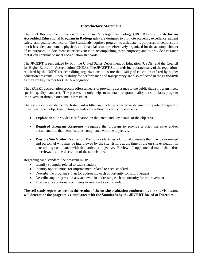## **Introductory Statement**

The Joint Review Committee on Education in Radiologic Technology (JRCERT) **Standards for an Accredited Educational Program in Radiography** are designed to promote academic excellence, patient safety, and quality healthcare. The **Standards** require a program to articulate its purposes; to demonstrate that it has adequate human, physical, and financial resources effectively organized for the accomplishment of its purposes; to document its effectiveness in accomplishing these purposes; and to provide assurance that it can continue to meet accreditation standards.

The JRCERT is recognized by both the United States Department of Education (USDE) and the Council for Higher Education Accreditation (CHEA). The JRCERT **Standards** incorporate many of the regulations required by the USDE for accrediting organizations to assure the quality of education offered by higher education programs. Accountability for performance and transparency are also reflected in the **Standards** as they are key factors for CHEA recognition.

The JRCERT accreditation process offers a means of providing assurance to the public that a program meets specific quality standards. The process not only helps to maintain program quality but stimulates program improvement through outcomes assessment.

There are six (6) standards. Each standard is titled and includes a narrative statement supported by specific objectives. Each objective, in turn, includes the following clarifying elements:

- **Explanation** provides clarification on the intent and key details of the objective.
- **Required Program Response**  requires the program to provide a brief narrative and/or documentation that demonstrates compliance with the objective.
- **Possible Site Visitor Evaluation Methods** identifies additional materials that may be examined and personnel who may be interviewed by the site visitors at the time of the on-site evaluation in determining compliance with the particular objective. Review of supplemental materials and/or interviews is at the discretion of the site visit team.

Regarding each standard, the program must:

- Identify strengths related to each standard
- Identify opportunities for improvement related to each standard
- Describe the program's plan for addressing each opportunity for improvement
- Describe any progress already achieved in addressing each opportunity for improvement
- Provide any additional comments in relation to each standard

**The self-study report, as well as the results of the on-site evaluation conducted by the site visit team, will determine the program's compliance with the Standards by the JRCERT Board of Directors.**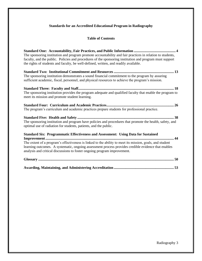# **Standards for an Accredited Educational Program in Radiography**

# **Table of Contents**

| The sponsoring institution and program promote accountability and fair practices in relation to students,<br>faculty, and the public. Policies and procedures of the sponsoring institution and program must support<br>the rights of students and faculty, be well-defined, written, and readily available.                                                                            |
|-----------------------------------------------------------------------------------------------------------------------------------------------------------------------------------------------------------------------------------------------------------------------------------------------------------------------------------------------------------------------------------------|
| The sponsoring institution demonstrates a sound financial commitment to the program by assuring<br>sufficient academic, fiscal, personnel, and physical resources to achieve the program's mission.                                                                                                                                                                                     |
| The sponsoring institution provides the program adequate and qualified faculty that enable the program to<br>meet its mission and promote student learning.                                                                                                                                                                                                                             |
| The program's curriculum and academic practices prepare students for professional practice.                                                                                                                                                                                                                                                                                             |
| The sponsoring institution and program have policies and procedures that promote the health, safety, and<br>optimal use of radiation for students, patients, and the public.                                                                                                                                                                                                            |
| <b>Standard Six: Programmatic Effectiveness and Assessment: Using Data for Sustained</b><br>The extent of a program's effectiveness is linked to the ability to meet its mission, goals, and student<br>learning outcomes. A systematic, ongoing assessment process provides credible evidence that enables<br>analysis and critical discussions to foster ongoing program improvement. |
|                                                                                                                                                                                                                                                                                                                                                                                         |
|                                                                                                                                                                                                                                                                                                                                                                                         |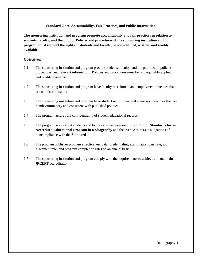#### **Standard One: Accountability, Fair Practices, and Public Information**

**The sponsoring institution and program promote accountability and fair practices in relation to students, faculty, and the public. Policies and procedures of the sponsoring institution and program must support the rights of students and faculty, be well-defined, written, and readily available.** 

#### **Objectives:**

- 1.1 The sponsoring institution and program provide students, faculty, and the public with policies, procedures, and relevant information. Policies and procedures must be fair, equitably applied, and readily available.
- 1.2 The sponsoring institution and program have faculty recruitment and employment practices that are nondiscriminatory.
- 1.3 The sponsoring institution and program have student recruitment and admission practices that are nondiscriminatory and consistent with published policies.
- 1.4 The program assures the confidentiality of student educational records.
- 1.5 The program assures that students and faculty are made aware of the JRCERT **Standards for an Accredited Educational Program in Radiography** and the avenue to pursue allegations of noncompliance with the **Standards**.
- 1.6 The program publishes program effectiveness data (credentialing examination pass rate, job placement rate, and program completion rate) on an annual basis.
- 1.7 The sponsoring institution and program comply with the requirements to achieve and maintain JRCERT accreditation.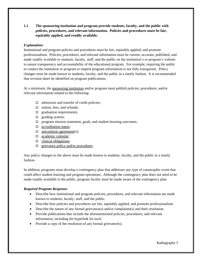**1.1 The sponsoring institution and program provide students, faculty, and the public with policies, procedures, and relevant information. Policies and procedures must be fair, equitably applied, and readily available.** 

## *Explanation:*

Institutional and program policies and procedures must be fair, equitably applied, and promote professionalism. Policies, procedures, and relevant information must be current, accurate, published, and made readily available to students, faculty, staff, and the public on the institution's or program's website to assure transparency and accountability of the educational program. For example, requiring the public to contact the institution or program to request program information is not fully transparent. Policy changes must be made known to students, faculty, and the public in a timely fashion. It is recommended that revision dates be identified on program publications.

At a minimum, the sponsoring institution and/or program must publish policies, procedures, and/or relevant information related to the following:

- $\Box$  admission and transfer of credit policies;
- $\Box$  tuition, fees, and refunds;
- $\Box$  graduation requirements;
- $\Box$  grading system;
- $\Box$  program mission statement, goals, and student learning outcomes;
- □ accreditation status;
- $\Box$  articulation agreement(s);
- □ academic calendar;
- $\Box$  clinical obligations;
- $\Box$  grievance policy and/or procedures.

Any policy changes to the above must be made known to students, faculty, and the public in a timely fashion.

In addition, programs must develop a contingency plan that addresses any type of catastrophic event that could affect student learning and program operations. Although the contingency plan does not need to be made readily available to the public, program faculty must be made aware of the contingency plan.

# *Required Program Response:*

- Describe how institutional and program policies, procedures, and relevant information are made known to students, faculty, staff, and the public.
- Describe how policies and procedures are fair, equitably applied, and promote professionalism.
- Describe the nature of any formal grievance(s) and/or complaints(s) and their resolution.
- Provide publications that include the aforementioned policies, procedures, and relevant information, including the hyperlink for each.
- Provide a copy of the resolution of any formal grievance(s).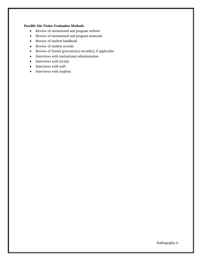#### *Possible Site Visitor Evaluation Methods:*

- Review of institutional and program website
- Review of institutional and program materials
- Review of student handbook
- Review of student records
- Review of formal grievance(s) record(s), if applicable
- Interviews with institutional administration
- Interviews with faculty
- Interviews with staff
- Interviews with students

Radiography 6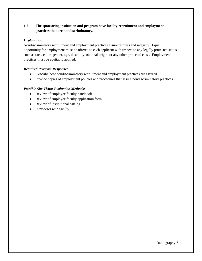# **1.2 The sponsoring institution and program have faculty recruitment and employment practices that are nondiscriminatory.**

## *Explanation:*

Nondiscriminatory recruitment and employment practices assure fairness and integrity. Equal opportunity for employment must be offered to each applicant with respect to any legally protected status such as race, color, gender, age, disability, national origin, or any other protected class. Employment practices must be equitably applied.

# *Required Program Response:*

- Describe how nondiscriminatory recruitment and employment practices are assured.
- Provide copies of employment policies and procedures that assure nondiscriminatory practices.

- Review of employee/faculty handbook
- Review of employee/faculty application form
- Review of institutional catalog
- Interviews with faculty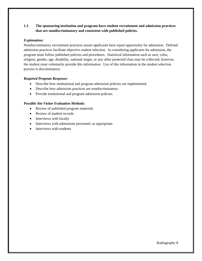# **1.3 The sponsoring institution and program have student recruitment and admission practices that are nondiscriminatory and consistent with published policies.**

#### *Explanation:*

Nondiscriminatory recruitment practices assure applicants have equal opportunity for admission. Defined admission practices facilitate objective student selection. In considering applicants for admission, the program must follow published policies and procedures. Statistical information such as race, color, religion, gender, age, disability, national origin, or any other protected class may be collected; however, the student must voluntarily provide this information. Use of this information in the student selection process is discriminatory.

#### *Required Program Response:*

- Describe how institutional and program admission policies are implemented.
- Describe how admission practices are nondiscriminatory.
- Provide institutional and program admission policies.

- Review of published program materials
- Review of student records
- Interviews with faculty
- Interviews with admissions personnel, as appropriate
- Interviews with students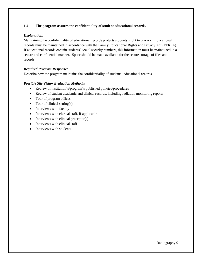## **1.4 The program assures the confidentiality of student educational records.**

## *Explanation:*

Maintaining the confidentiality of educational records protects students' right to privacy. Educational records must be maintained in accordance with the Family Educational Rights and Privacy Act (FERPA). If educational records contain students' social security numbers, this information must be maintained in a secure and confidential manner. Space should be made available for the secure storage of files and records.

## *Required Program Response:*

Describe how the program maintains the confidentiality of students' educational records.

- Review of institution's/program's published policies/procedures
- Review of student academic and clinical records, including radiation monitoring reports
- Tour of program offices
- Tour of clinical setting(s)
- Interviews with faculty
- Interviews with clerical staff, if applicable
- Interviews with clinical preceptor(s)
- Interviews with clinical staff
- Interviews with students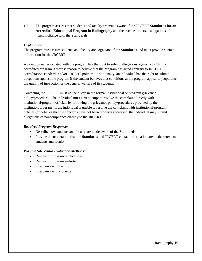**1.5** The program assures that students and faculty are made aware of the JRCERT **Standards for an Accredited Educational Program in Radiography** and the avenue to pursue allegations of noncompliance with the **Standards**.

## *Explanation:*

The program must assure students and faculty are cognizant of the **Standards** and must provide contact information for the JRCERT.

Any individual associated with the program has the right to submit allegations against a JRCERTaccredited program if there is reason to believe that the program has acted contrary to JRCERT accreditation standards and/or JRCERT policies. Additionally, an individual has the right to submit allegations against the program if the student believes that conditions at the program appear to jeopardize the quality of instruction or the general welfare of its students.

Contacting the JRCERT must not be a step in the formal institutional or program grievance policy/procedure. The individual must first attempt to resolve the complaint directly with institutional/program officials by following the grievance policy/procedures provided by the institution/program. If the individual is unable to resolve the complaint with institutional/program officials or believes that the concerns have not been properly addressed, the individual may submit allegations of noncompliance directly to the JRCERT.

## *Required Program Response:*

- Describe how students and faculty are made aware of the **Standards**.
- Provide documentation that the **Standards** and JRCERT contact information are made known to students and faculty.

- Review of program publications
- Review of program website
- Interviews with faculty
- Interviews with students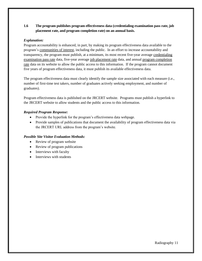# **1.6 The program publishes program effectiveness data (credentialing examination pass rate, job placement rate, and program completion rate) on an annual basis.**

## *Explanation:*

Program accountability is enhanced, in part, by making its program effectiveness data available to the program's communities of interest, including the public. In an effort to increase accountability and transparency, the program must publish, at a minimum, its most recent five-year average credentialing examination pass rate data, five-year average job placement rate data, and annual program completion rate data on its website to allow the public access to this information. If the program cannot document five years of program effectiveness data, it must publish its available effectiveness data.

The program effectiveness data must clearly identify the sample size associated with each measure (i.e., number of first-time test takers, number of graduates actively seeking employment, and number of graduates).

Program effectiveness data is published on the JRCERT website. Programs must publish a hyperlink to the JRCERT website to allow students and the public access to this information.

## *Required Program Response:*

- Provide the hyperlink for the program's effectiveness data webpage.
- Provide samples of publications that document the availability of program effectiveness data via the JRCERT URL address from the program's website.

- Review of program website
- Review of program publications
- Interviews with faculty
- Interviews with students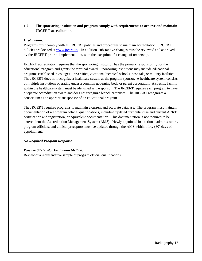# **1.7 The sponsoring institution and program comply with requirements to achieve and maintain JRCERT accreditation.**

#### *Explanation:*

Programs must comply with all JRCERT policies and procedures to maintain accreditation. JRCERT policies are located at [www.jrcert.org.](http://www.jrcert.org/) In addition, substantive changes must be reviewed and approved by the JRCERT prior to implementation, with the exception of a change of ownership.

JRCERT accreditation requires that the sponsoring institution has the primary responsibility for the educational program and grants the terminal award. Sponsoring institutions may include educational programs established in colleges, universities, vocational/technical schools, hospitals, or military facilities. The JRCERT does not recognize a healthcare system as the program sponsor. A healthcare system consists of multiple institutions operating under a common governing body or parent corporation. A specific facility within the healthcare system must be identified as the sponsor. The JRCERT requires each program to have a separate accreditation award and does not recognize branch campuses. The JRCERT recognizes a consortium as an appropriate sponsor of an educational program.

The JRCERT requires programs to maintain a current and accurate database. The program must maintain documentation of all program official qualifications, including updated curricula vitae and current ARRT certification and registration, or equivalent documentation. This documentation is not required to be entered into the Accreditation Management System (AMS). Newly appointed institutional administrators, program officials, and clinical preceptors must be updated through the AMS within thirty (30) days of appointment.

# *No Required Program Response*

#### *Possible Site Visitor Evaluation Method:* Review of a representative sample of program official qualifications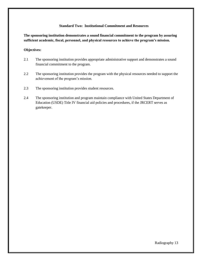#### **Standard Two: Institutional Commitment and Resources**

**The sponsoring institution demonstrates a sound financial commitment to the program by assuring sufficient academic, fiscal, personnel, and physical resources to achieve the program's mission.**

#### **Objectives:**

- 2.1 The sponsoring institution provides appropriate administrative support and demonstrates a sound financial commitment to the program.
- 2.2 The sponsoring institution provides the program with the physical resources needed to support the achievement of the program's mission.
- 2.3 The sponsoring institution provides student resources.
- 2.4 The sponsoring institution and program maintain compliance with United States Department of Education (USDE) Title IV financial aid policies and procedures, if the JRCERT serves as gatekeeper.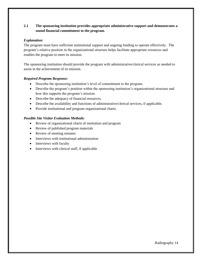# **2.1 The sponsoring institution provides appropriate administrative support and demonstrates a sound financial commitment to the program.**

## *Explanation:*

The program must have sufficient institutional support and ongoing funding to operate effectively. The program's relative position in the organizational structure helps facilitate appropriate resources and enables the program to meet its mission.

The sponsoring institution should provide the program with administrative/clerical services as needed to assist in the achievement of its mission.

## *Required Program Response:*

- Describe the sponsoring institution's level of commitment to the program.
- Describe the program's position within the sponsoring institution's organizational structure and how this supports the program's mission.
- Describe the adequacy of financial resources.
- Describe the availability and functions of administrative/clerical services, if applicable.
- Provide institutional and program organizational charts.

- Review of organizational charts of institution and program
- Review of published program materials
- Review of meeting minutes
- Interviews with institutional administration
- Interviews with faculty
- Interviews with clerical staff, if applicable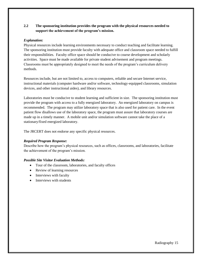# **2.2 The sponsoring institution provides the program with the physical resources needed to support the achievement of the program's mission.**

## *Explanation:*

Physical resources include learning environments necessary to conduct teaching and facilitate learning. The sponsoring institution must provide faculty with adequate office and classroom space needed to fulfill their responsibilities. Faculty office space should be conducive to course development and scholarly activities. Space must be made available for private student advisement and program meetings. Classrooms must be appropriately designed to meet the needs of the program's curriculum delivery methods.

Resources include, but are not limited to, access to computers, reliable and secure Internet service, instructional materials (computer hardware and/or software, technology-equipped classrooms, simulation devices, and other instructional aides), and library resources.

Laboratories must be conducive to student learning and sufficient in size. The sponsoring institution must provide the program with access to a fully energized laboratory. An energized laboratory on campus is recommended. The program may utilize laboratory space that is also used for patient care. In the event patient flow disallows use of the laboratory space, the program must assure that laboratory courses are made up in a timely manner. A mobile unit and/or simulation software cannot take the place of a stationary/fixed energized laboratory.

The JRCERT does not endorse any specific physical resources.

#### *Required Program Response:*

Describe how the program's physical resources, such as offices, classrooms, and laboratories, facilitate the achievement of the program's mission.

- Tour of the classroom, laboratories, and faculty offices
- Review of learning resources
- Interviews with faculty
- Interviews with students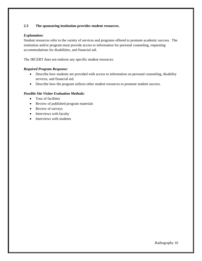# **2.3 The sponsoring institution provides student resources.**

## *Explanation:*

Student resources refer to the variety of services and programs offered to promote academic success. The institution and/or program must provide access to information for personal counseling, requesting accommodations for disabilities, and financial aid.

The JRCERT does not endorse any specific student resources.

## *Required Program Response:*

- Describe how students are provided with access to information on personal counseling, disability services, and financial aid.
- Describe how the program utilizes other student resources to promote student success.

- Tour of facilities
- Review of published program materials
- Review of surveys
- Interviews with faculty
- Interviews with students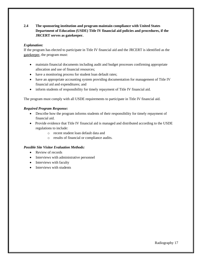# **2.4 The sponsoring institution and program maintain compliance with United States Department of Education (USDE) Title IV financial aid policies and procedures, if the JRCERT serves as gatekeeper.**

## *Explanation:*

If the program has elected to participate in Title IV financial aid and the JRCERT is identified as the gatekeeper, the program must:

- maintain financial documents including audit and budget processes confirming appropriate allocation and use of financial resources;
- have a monitoring process for student loan default rates;
- have an appropriate accounting system providing documentation for management of Title IV financial aid and expenditures; and
- inform students of responsibility for timely repayment of Title IV financial aid.

The program must comply with all USDE requirements to participate in Title IV financial aid.

## *Required Program Response:*

- Describe how the program informs students of their responsibility for timely repayment of financial aid.
- Provide evidence that Title IV financial aid is managed and distributed according to the USDE regulations to include:
	- o recent student loan default data and
	- o results of financial or compliance audits.

- Review of records
- Interviews with administrative personnel
- Interviews with faculty
- Interviews with students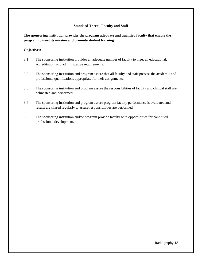#### **Standard Three: Faculty and Staff**

**The sponsoring institution provides the program adequate and qualified faculty that enable the program to meet its mission and promote student learning.**

#### **Objectives:**

- 3.1 The sponsoring institution provides an adequate number of faculty to meet all educational, accreditation, and administrative requirements.
- 3.2 The sponsoring institution and program assure that all faculty and staff possess the academic and professional qualifications appropriate for their assignments.
- 3.3 The sponsoring institution and program assure the responsibilities of faculty and clinical staff are delineated and performed.
- 3.4 The sponsoring institution and program assure program faculty performance is evaluated and results are shared regularly to assure responsibilities are performed.
- 3.5 The sponsoring institution and/or program provide faculty with opportunities for continued professional development.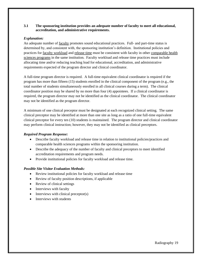#### **3.1 The sponsoring institution provides an adequate number of faculty to meet all educational, accreditation, and administrative requirements.**

## *Explanation:*

An adequate number of faculty promotes sound educational practices. Full- and part-time status is determined by, and consistent with, the sponsoring institution's definition. Institutional policies and practices for faculty workload and release time must be consistent with faculty in other comparable health sciences programs in the same institution. Faculty workload and release time practices must include allocating time and/or reducing teaching load for educational, accreditation, and administrative requirements expected of the program director and clinical coordinator.

A full-time program director is required. A full-time equivalent clinical coordinator is required if the program has more than fifteen (15) students enrolled in the clinical component of the program (e.g., the total number of students simultaneously enrolled in all clinical courses during a term). The clinical coordinator position may be shared by no more than four (4) appointees. If a clinical coordinator is required, the program director may not be identified as the clinical coordinator. The clinical coordinator may not be identified as the program director.

A minimum of one clinical preceptor must be designated at each recognized clinical setting. The same clinical preceptor may be identified at more than one site as long as a ratio of one full-time equivalent clinical preceptor for every ten (10) students is maintained. The program director and clinical coordinator may perform clinical instruction; however, they may not be identified as clinical preceptors.

#### *Required Program Response:*

- Describe faculty workload and release time in relation to institutional policies/practices and comparable health sciences programs within the sponsoring institution.
- Describe the adequacy of the number of faculty and clinical preceptors to meet identified accreditation requirements and program needs.
- Provide institutional policies for faculty workload and release time.

- Review institutional policies for faculty workload and release time
- Review of faculty position descriptions, if applicable
- Review of clinical settings
- Interviews with faculty
- Interviews with clinical preceptor(s)
- Interviews with students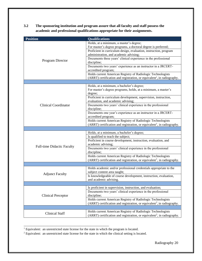**3.2 The sponsoring institution and program assure that all faculty and staff possess the academic and professional qualifications appropriate for their assignments.** 

| <b>Position</b>                   | <b>Qualifications</b>                                                                                                                                                                                                                                                                                                                                                                                                                                                                                                                                         |  |  |
|-----------------------------------|---------------------------------------------------------------------------------------------------------------------------------------------------------------------------------------------------------------------------------------------------------------------------------------------------------------------------------------------------------------------------------------------------------------------------------------------------------------------------------------------------------------------------------------------------------------|--|--|
| Program Director                  | Holds, at a minimum, a master's degree;<br>For master's degree programs, a doctoral degree is preferred;<br>Proficient in curriculum design, evaluation, instruction, program<br>administration, and academic advising;<br>Documents three years' clinical experience in the professional<br>discipline;<br>Documents two years' experience as an instructor in a JRCERT-<br>accredited program;<br>Holds current American Registry of Radiologic Technologists                                                                                               |  |  |
|                                   | $(ARRT)$ certification and registration, or equivalent <sup>1</sup> , in radiography.                                                                                                                                                                                                                                                                                                                                                                                                                                                                         |  |  |
| <b>Clinical Coordinator</b>       | Holds, at a minimum, a bachelor's degree;<br>For master's degree programs, holds, at a minimum, a master's<br>degree;<br>Proficient in curriculum development, supervision, instruction,<br>evaluation, and academic advising;<br>Documents two years' clinical experience in the professional<br>discipline;<br>Documents one year's experience as an instructor in a JRCERT-<br>accredited program;<br>Holds current American Registry of Radiologic Technologists<br>$(ARRT)$ certification and registration, or equivalent <sup>1</sup> , in radiography. |  |  |
|                                   |                                                                                                                                                                                                                                                                                                                                                                                                                                                                                                                                                               |  |  |
| <b>Full-time Didactic Faculty</b> | Holds, at a minimum, a bachelor's degree;<br>Is qualified to teach the subject;<br>Proficient in course development, instruction, evaluation, and<br>academic advising;<br>Documents two years' clinical experience in the professional<br>discipline;<br>Holds current American Registry of Radiologic Technologists                                                                                                                                                                                                                                         |  |  |
|                                   | (ARRT) certification and registration, or equivalent <sup>1</sup> , in radiography.                                                                                                                                                                                                                                                                                                                                                                                                                                                                           |  |  |
| <b>Adjunct Faculty</b>            | Holds academic and/or professional credentials appropriate to the<br>subject content area taught;<br>Is knowledgeable of course development, instruction, evaluation,<br>and academic advising.                                                                                                                                                                                                                                                                                                                                                               |  |  |
|                                   | Is proficient in supervision, instruction, and evaluation;                                                                                                                                                                                                                                                                                                                                                                                                                                                                                                    |  |  |
| <b>Clinical Preceptor</b>         | Documents two years' clinical experience in the professional<br>discipline;<br>Holds current American Registry of Radiologic Technologists<br>(ARRT) certification and registration, or equivalent <sup>2</sup> , in radiography.                                                                                                                                                                                                                                                                                                                             |  |  |
|                                   |                                                                                                                                                                                                                                                                                                                                                                                                                                                                                                                                                               |  |  |
| <b>Clinical Staff</b>             | Holds current American Registry of Radiologic Technologists<br>(ARRT) certification and registration, or equivalent <sup>2</sup> , in radiography.                                                                                                                                                                                                                                                                                                                                                                                                            |  |  |

<sup>&</sup>lt;sup>1</sup> Equivalent: an unrestricted state license for the state in which the program is located.

\_\_\_\_\_\_\_\_\_\_\_\_\_\_\_\_\_\_\_\_\_\_\_\_\_\_\_\_\_\_\_\_\_\_\_\_\_\_\_\_\_\_\_\_\_\_\_

<sup>&</sup>lt;sup>2</sup> Equivalent: an unrestricted state license for the state in which the clinical setting is located.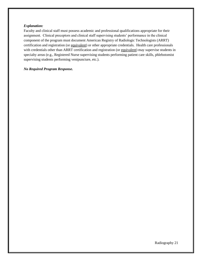#### *Explanation:*

Faculty and clinical staff must possess academic and professional qualifications appropriate for their assignment. Clinical preceptors and clinical staff supervising students' performance in the clinical component of the program must document American Registry of Radiologic Technologists (ARRT) certification and registration (or equivalent) or other appropriate credentials. Health care professionals with credentials other than ARRT certification and registration (or equivalent) may supervise students in specialty areas (e.g., Registered Nurse supervising students performing patient care skills, phlebotomist supervising students performing venipuncture, etc.).

#### *No Required Program Response.*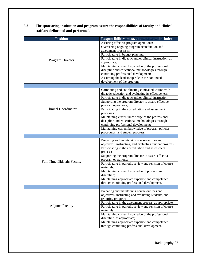| 3.3 | The sponsoring institution and program assure the responsibilities of faculty and clinical |
|-----|--------------------------------------------------------------------------------------------|
|     | staff are delineated and performed.                                                        |

| <b>Position</b>                   | Responsibilities must, at a minimum, include:                                                                  |
|-----------------------------------|----------------------------------------------------------------------------------------------------------------|
|                                   | Assuring effective program operations;                                                                         |
|                                   | Overseeing ongoing program accreditation and                                                                   |
|                                   | assessment processes;                                                                                          |
|                                   | Participating in budget planning;                                                                              |
| Program Director                  | Participating in didactic and/or clinical instruction, as                                                      |
|                                   | appropriate;                                                                                                   |
|                                   | Maintaining current knowledge of the professional                                                              |
|                                   | discipline and educational methodologies through                                                               |
|                                   | continuing professional development;                                                                           |
|                                   | Assuming the leadership role in the continued                                                                  |
|                                   | development of the program.                                                                                    |
|                                   |                                                                                                                |
|                                   | Correlating and coordinating clinical education with                                                           |
|                                   | didactic education and evaluating its effectiveness;                                                           |
|                                   | Participating in didactic and/or clinical instruction;                                                         |
|                                   | Supporting the program director to assure effective                                                            |
|                                   | program operations;                                                                                            |
| <b>Clinical Coordinator</b>       | Participating in the accreditation and assessment                                                              |
|                                   | processes;                                                                                                     |
|                                   | Maintaining current knowledge of the professional                                                              |
|                                   | discipline and educational methodologies through                                                               |
|                                   | continuing professional development;                                                                           |
|                                   | Maintaining current knowledge of program policies,                                                             |
|                                   | procedures, and student progress.                                                                              |
|                                   |                                                                                                                |
|                                   | Preparing and maintaining course outlines and                                                                  |
|                                   | objectives, instructing, and evaluating student progress;<br>Participating in the accreditation and assessment |
|                                   | process;                                                                                                       |
|                                   | Supporting the program director to assure effective                                                            |
|                                   | program operations;                                                                                            |
| <b>Full-Time Didactic Faculty</b> | Participating in periodic review and revision of course                                                        |
|                                   | materials;                                                                                                     |
|                                   | Maintaining current knowledge of professional                                                                  |
|                                   | discipline;                                                                                                    |
|                                   | Maintaining appropriate expertise and competence                                                               |
|                                   | through continuing professional development.                                                                   |
|                                   |                                                                                                                |
|                                   | Preparing and maintaining course outlines and                                                                  |
| <b>Adjunct Faculty</b>            | objectives, instructing and evaluating students, and                                                           |
|                                   | reporting progress;                                                                                            |
|                                   | Participating in the assessment process, as appropriate;                                                       |
|                                   | Participating in periodic review and revision of course                                                        |
|                                   | materials;                                                                                                     |
|                                   | Maintaining current knowledge of the professional                                                              |
|                                   | discipline, as appropriate;                                                                                    |
|                                   | Maintaining appropriate expertise and competence                                                               |
|                                   | through continuing professional development.                                                                   |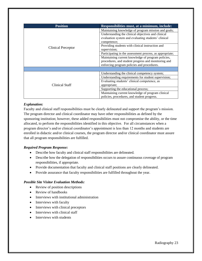| <b>Position</b>    | Responsibilities must, at a minimum, include:            |
|--------------------|----------------------------------------------------------|
| Clinical Preceptor | Maintaining knowledge of program mission and goals;      |
|                    | Understanding the clinical objectives and clinical       |
|                    | evaluation system and evaluating students' clinical      |
|                    | competence;                                              |
|                    | Providing students with clinical instruction and         |
|                    | supervision;                                             |
|                    | Participating in the assessment process, as appropriate; |
|                    | Maintaining current knowledge of program policies,       |
|                    | procedures, and student progress and monitoring and      |
|                    | enforcing program policies and procedures.               |
|                    |                                                          |
|                    | Understanding the clinical competency system;            |
| Clinical Staff     | Understanding requirements for student supervision;      |
|                    | Evaluating students' clinical competence, as             |
|                    | appropriate;                                             |
|                    | Supporting the educational process;                      |
|                    | Maintaining current knowledge of program clinical        |
|                    | policies, procedures, and student progress.              |

## *Explanation:*

Faculty and clinical staff responsibilities must be clearly delineated and support the program's mission. The program director and clinical coordinator may have other responsibilities as defined by the sponsoring institution; however, these added responsibilities must not compromise the ability, or the time allocated, to perform the responsibilities identified in this objective. For all circumstances when a program director's and/or clinical coordinator's appointment is less than 12 months and students are enrolled in didactic and/or clinical courses, the program director and/or clinical coordinator must assure that all program responsibilities are fulfilled.

# *Required Program Response:*

- Describe how faculty and clinical staff responsibilities are delineated.
- Describe how the delegation of responsibilities occurs to assure continuous coverage of program responsibilities, if appropriate.
- Provide documentation that faculty and clinical staff positions are clearly delineated.
- Provide assurance that faculty responsibilities are fulfilled throughout the year.

- Review of position descriptions
- Review of handbooks
- Interviews with institutional administration
- Interviews with faculty
- Interviews with clinical preceptors
- Interviews with clinical staff
- Interviews with students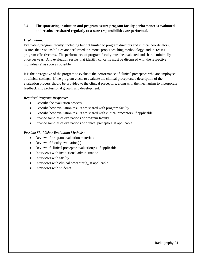# **3.4 The sponsoring institution and program assure program faculty performance is evaluated and results are shared regularly to assure responsibilities are performed.**

#### *Explanation:*

Evaluating program faculty, including but not limited to program directors and clinical coordinators, assures that responsibilities are performed, promotes proper teaching methodology, and increases program effectiveness. The performance of program faculty must be evaluated and shared minimally once per year. Any evaluation results that identify concerns must be discussed with the respective individual(s) as soon as possible.

It is the prerogative of the program to evaluate the performance of clinical preceptors who are employees of clinical settings. If the program elects to evaluate the clinical preceptors, a description of the evaluation process should be provided to the clinical preceptors, along with the mechanism to incorporate feedback into professional growth and development.

## *Required Program Response:*

- Describe the evaluation process.
- Describe how evaluation results are shared with program faculty.
- Describe how evaluation results are shared with clinical preceptors, if applicable.
- Provide samples of evaluations of program faculty.
- Provide samples of evaluations of clinical preceptors, if applicable.

- Review of program evaluation materials
- Review of faculty evaluation(s)
- Review of clinical preceptor evaluation(s), if applicable
- Interviews with institutional administration
- Interviews with faculty
- $\bullet$  Interviews with clinical preceptor(s), if applicable
- Interviews with students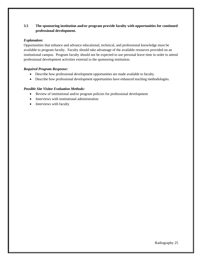# **3.5 The sponsoring institution and/or program provide faculty with opportunities for continued professional development.**

## *Explanation:*

Opportunities that enhance and advance educational, technical, and professional knowledge must be available to program faculty. Faculty should take advantage of the available resources provided on an institutional campus. Program faculty should not be expected to use personal leave time in order to attend professional development activities external to the sponsoring institution.

# *Required Program Response:*

- Describe how professional development opportunities are made available to faculty.
- Describe how professional development opportunities have enhanced teaching methodologies.

- Review of institutional and/or program policies for professional development
- Interviews with institutional administration
- Interviews with faculty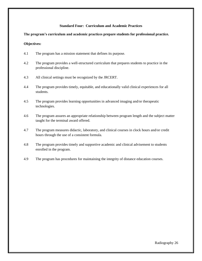## **Standard Four: Curriculum and Academic Practices**

#### **The program's curriculum and academic practices prepare students for professional practice.**

#### **Objectives:**

- 4.1 The program has a mission statement that defines its purpose.
- 4.2 The program provides a well-structured curriculum that prepares students to practice in the professional discipline.
- 4.3 All clinical settings must be recognized by the JRCERT.
- 4.4 The program provides timely, equitable, and educationally valid clinical experiences for all students.
- 4.5 The program provides learning opportunities in advanced imaging and/or therapeutic technologies.
- 4.6 The program assures an appropriate relationship between program length and the subject matter taught for the terminal award offered.
- 4.7 The program measures didactic, laboratory, and clinical courses in clock hours and/or credit hours through the use of a consistent formula.
- 4.8 The program provides timely and supportive academic and clinical advisement to students enrolled in the program.
- 4.9 The program has procedures for maintaining the integrity of distance education courses.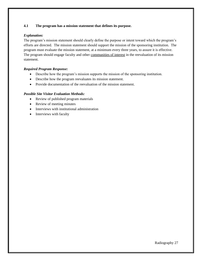# **4.1 The program has a mission statement that defines its purpose.**

## *Explanation:*

The program's mission statement should clearly define the purpose or intent toward which the program's efforts are directed. The mission statement should support the mission of the sponsoring institution. The program must evaluate the mission statement, at a minimum every three years, to assure it is effective. The program should engage faculty and other communities of interest in the reevaluation of its mission statement.

# *Required Program Response:*

- Describe how the program's mission supports the mission of the sponsoring institution.
- Describe how the program reevaluates its mission statement.
- Provide documentation of the reevaluation of the mission statement.

- Review of published program materials
- Review of meeting minutes
- Interviews with institutional administration
- Interviews with faculty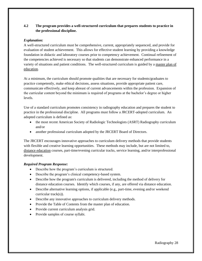# **4.2 The program provides a well-structured curriculum that prepares students to practice in the professional discipline.**

## *Explanation:*

A well-structured curriculum must be comprehensive, current, appropriately sequenced, and provide for evaluation of student achievement. This allows for effective student learning by providing a knowledge foundation in didactic and laboratory courses prior to competency achievement. Continual refinement of the competencies achieved is necessary so that students can demonstrate enhanced performance in a variety of situations and patient conditions. The well-structured curriculum is guided by a master plan of education.

At a minimum, the curriculum should promote qualities that are necessary for students/graduates to practice competently, make ethical decisions, assess situations, provide appropriate patient care, communicate effectively, and keep abreast of current advancements within the profession. Expansion of the curricular content beyond the minimum is required of programs at the bachelor's degree or higher levels.

Use of a standard curriculum promotes consistency in radiography education and prepares the student to practice in the professional discipline. All programs must follow a JRCERT-adopted curriculum. An adopted curriculum is defined as:

- the most recent American Society of Radiologic Technologists (ASRT) Radiography curriculum and/or
- another professional curriculum adopted by the JRCERT Board of Directors.

The JRCERT encourages innovative approaches to curriculum delivery methods that provide students with flexible and creative learning opportunities. These methods may include, but are not limited to, distance education courses, part-time/evening curricular tracks, service learning, and/or interprofessional development.

# *Required Program Response:*

- Describe how the program's curriculum is structured.
- Describe the program's clinical competency-based system.
- Describe how the program's curriculum is delivered, including the method of delivery for distance education courses. Identify which courses, if any, are offered via distance education.
- Describe alternative learning options, if applicable (e.g., part-time, evening and/or weekend curricular track(s)).
- Describe any innovative approaches to curriculum delivery methods.
- Provide the Table of Contents from the master plan of education.
- Provide current curriculum analysis grid.
- Provide samples of course syllabi.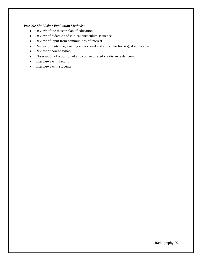- Review of the master plan of education
- Review of didactic and clinical curriculum sequence
- Review of input from communities of interest
- Review of part-time, evening and/or weekend curricular track(s), if applicable
- Review of course syllabi
- Observation of a portion of any course offered via distance delivery
- Interviews with faculty
- Interviews with students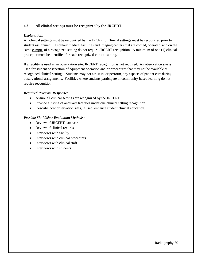#### **4.3 All clinical settings must be recognized by the JRCERT.**

## *Explanation:*

All clinical settings must be recognized by the JRCERT. Clinical settings must be recognized prior to student assignment. Ancillary medical facilities and imaging centers that are owned, operated, and on the same campus of a recognized setting do not require JRCERT recognition. A minimum of one (1) clinical preceptor must be identified for each recognized clinical setting.

If a facility is used as an observation site, JRCERT recognition is not required. An observation site is used for student observation of equipment operation and/or procedures that may not be available at recognized clinical settings. Students may not assist in, or perform, any aspects of patient care during observational assignments. Facilities where students participate in community-based learning do not require recognition.

#### *Required Program Response:*

- Assure all clinical settings are recognized by the JRCERT.
- Provide a listing of ancillary facilities under one clinical setting recognition.
- Describe how observation sites, if used, enhance student clinical education.

- Review of JRCERT database
- Review of clinical records
- Interviews with faculty
- Interviews with clinical preceptors
- Interviews with clinical staff
- Interviews with students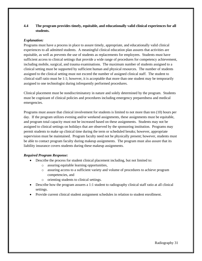# **4.4 The program provides timely, equitable, and educationally valid clinical experiences for all students.**

## *Explanation:*

Programs must have a process in place to assure timely, appropriate, and educationally valid clinical experiences to all admitted students. A meaningful clinical education plan assures that activities are equitable, as well as prevents the use of students as replacements for employees. Students must have sufficient access to clinical settings that provide a wide range of procedures for competency achievement, including mobile, surgical, and trauma examinations. The maximum number of students assigned to a clinical setting must be supported by sufficient human and physical resources. The number of students assigned to the clinical setting must not exceed the number of assigned clinical staff. The student to clinical staff ratio must be 1:1; however, it is acceptable that more than one student may be temporarily assigned to one technologist during infrequently performed procedures.

Clinical placement must be nondiscriminatory in nature and solely determined by the program. Students must be cognizant of clinical policies and procedures including emergency preparedness and medical emergencies.

Programs must assure that clinical involvement for students is limited to not more than ten (10) hours per day. If the program utilizes evening and/or weekend assignments, these assignments must be equitable, and program total capacity must not be increased based on these assignments. Students may not be assigned to clinical settings on holidays that are observed by the sponsoring institution. Programs may permit students to make up clinical time during the term or scheduled breaks; however, appropriate supervision must be maintained. Program faculty need not be physically present; however, students must be able to contact program faculty during makeup assignments. The program must also assure that its liability insurance covers students during these makeup assignments.

#### *Required Program Response:*

- Describe the process for student clinical placement including, but not limited to:
	- o assuring equitable learning opportunities,
	- o assuring access to a sufficient variety and volume of procedures to achieve program competencies, and
	- o orienting students to clinical settings.
- Describe how the program assures a 1:1 student to radiography clinical staff ratio at all clinical settings.
- Provide current clinical student assignment schedules in relation to student enrollment.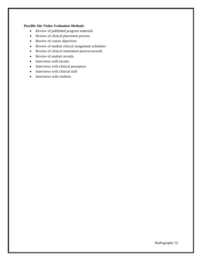- Review of published program materials
- Review of clinical placement process
- Review of course objectives
- Review of student clinical assignment schedules
- Review of clinical orientation process/records
- Review of student records
- Interviews with faculty
- Interviews with clinical preceptors
- Interviews with clinical staff
- Interviews with students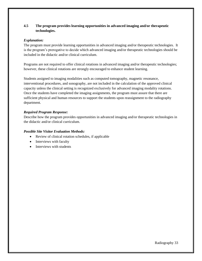# **4.5 The program provides learning opportunities in advanced imaging and/or therapeutic technologies.**

## *Explanation:*

The program must provide learning opportunities in advanced imaging and/or therapeutic technologies. It is the program's prerogative to decide which advanced imaging and/or therapeutic technologies should be included in the didactic and/or clinical curriculum.

Programs are not required to offer clinical rotations in advanced imaging and/or therapeutic technologies; however, these clinical rotations are strongly encouraged to enhance student learning.

Students assigned to imaging modalities such as computed tomography, magnetic resonance, interventional procedures, and sonography, are not included in the calculation of the approved clinical capacity unless the clinical setting is recognized exclusively for advanced imaging modality rotations. Once the students have completed the imaging assignments, the program must assure that there are sufficient physical and human resources to support the students upon reassignment to the radiography department.

# *Required Program Response:*

Describe how the program provides opportunities in advanced imaging and/or therapeutic technologies in the didactic and/or clinical curriculum.

- Review of clinical rotation schedules, if applicable
- Interviews with faculty
- Interviews with students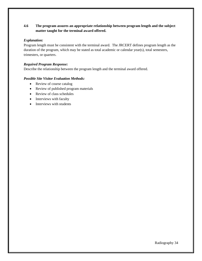# **4.6 The program assures an appropriate relationship between program length and the subject matter taught for the terminal award offered.**

#### *Explanation:*

Program length must be consistent with the terminal award. The JRCERT defines program length as the duration of the program, which may be stated as total academic or calendar year(s), total semesters, trimesters, or quarters.

## *Required Program Response:*

Describe the relationship between the program length and the terminal award offered.

- Review of course catalog
- Review of published program materials
- Review of class schedules
- Interviews with faculty
- Interviews with students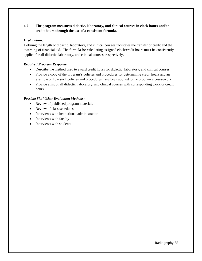# **4.7 The program measures didactic, laboratory, and clinical courses in clock hours and/or credit hours through the use of a consistent formula.**

## *Explanation:*

Defining the length of didactic, laboratory, and clinical courses facilitates the transfer of credit and the awarding of financial aid. The formula for calculating assigned clock/credit hours must be consistently applied for all didactic, laboratory, and clinical courses, respectively.

## *Required Program Response:*

- Describe the method used to award credit hours for didactic, laboratory, and clinical courses.
- Provide a copy of the program's policies and procedures for determining credit hours and an example of how such policies and procedures have been applied to the program's coursework.
- Provide a list of all didactic, laboratory, and clinical courses with corresponding clock or credit hours.

- Review of published program materials
- Review of class schedules
- Interviews with institutional administration
- Interviews with faculty
- Interviews with students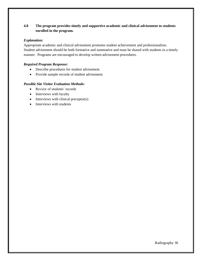# **4.8 The program provides timely and supportive academic and clinical advisement to students enrolled in the program.**

#### *Explanation:*

Appropriate academic and clinical advisement promotes student achievement and professionalism. Student advisement should be both formative and summative and must be shared with students in a timely manner. Programs are encouraged to develop written advisement procedures.

# *Required Program Response:*

- Describe procedures for student advisement.
- Provide sample records of student advisement.

- Review of students' records
- Interviews with faculty
- Interviews with clinical preceptor(s)
- Interviews with students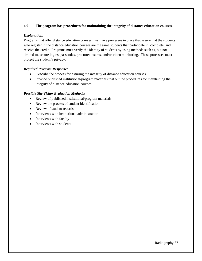# **4.9 The program has procedures for maintaining the integrity of distance education courses.**

## *Explanation:*

Programs that offer distance education courses must have processes in place that assure that the students who register in the distance education courses are the same students that participate in, complete, and receive the credit. Programs must verify the identity of students by using methods such as, but not limited to, secure logins, passcodes, proctored exams, and/or video monitoring.These processes must protect the student's privacy.

# *Required Program Response:*

- Describe the process for assuring the integrity of distance education courses.
- Provide published institutional/program materials that outline procedures for maintaining the integrity of distance education courses.

- Review of published institutional/program materials
- Review the process of student identification
- Review of student records
- Interviews with institutional administration
- Interviews with faculty
- Interviews with students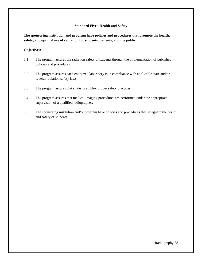#### **Standard Five: Health and Safety**

**The sponsoring institution and program have policies and procedures that promote the health, safety, and optimal use of radiation for students, patients, and the public.** 

#### **Objectives:**

- 5.1 The program assures the radiation safety of students through the implementation of published policies and procedures.
- 5.2 The program assures each energized laboratory is in compliance with applicable state and/or federal radiation safety laws.
- 5.3 The program assures that students employ proper safety practices.
- 5.4 The program assures that medical imaging procedures are performed under the appropriate supervision of a qualified radiographer.
- 5.5 The sponsoring institution and/or program have policies and procedures that safeguard the health and safety of students.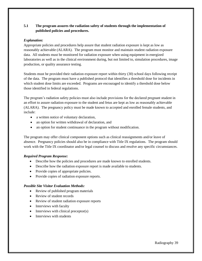# **5.1 The program assures the radiation safety of students through the implementation of published policies and procedures.**

## *Explanation:*

Appropriate policies and procedures help assure that student radiation exposure is kept as low as reasonably achievable (ALARA). The program must monitor and maintain student radiation exposure data. All students must be monitored for radiation exposure when using equipment in energized laboratories as well as in the clinical environment during, but not limited to, simulation procedures, image production, or quality assurance testing.

Students must be provided their radiation exposure report within thirty (30) school days following receipt of the data. The program must have a published protocol that identifies a threshold dose for incidents in which student dose limits are exceeded. Programs are encouraged to identify a threshold dose below those identified in federal regulations.

The program's radiation safety policies must also include provisions for the declared pregnant student in an effort to assure radiation exposure to the student and fetus are kept as low as reasonably achievable (ALARA). The pregnancy policy must be made known to accepted and enrolled female students, and include:

- a written notice of voluntary declaration,
- an option for written withdrawal of declaration, and
- an option for student continuance in the program without modification.

The program may offer clinical component options such as clinical reassignments and/or leave of absence. Pregnancy policies should also be in compliance with Title IX regulations. The program should work with the Title IX coordinator and/or legal counsel to discuss and resolve any specific circumstances.

#### *Required Program Response:*

- Describe how the policies and procedures are made known to enrolled students.
- Describe how the radiation exposure report is made available to students.
- Provide copies of appropriate policies.
- Provide copies of radiation exposure reports.

- Review of published program materials
- Review of student records
- Review of student radiation exposure reports
- Interviews with faculty
- Interviews with clinical preceptor(s)
- Interviews with students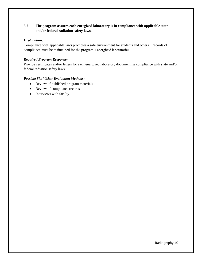# **5.2 The program assures each energized laboratory is in compliance with applicable state and/or federal radiation safety laws.**

## *Explanation:*

Compliance with applicable laws promotes a safe environment for students and others. Records of compliance must be maintained for the program's energized laboratories.

## *Required Program Response:*

Provide certificates and/or letters for each energized laboratory documenting compliance with state and/or federal radiation safety laws.

- Review of published program materials
- Review of compliance records
- Interviews with faculty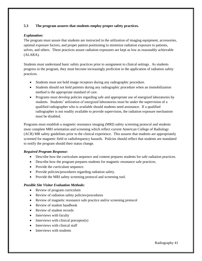# **5.3 The program assures that students employ proper safety practices.**

## *Explanation:*

The program must assure that students are instructed in the utilization of imaging equipment, accessories, optimal exposure factors, and proper patient positioning to minimize radiation exposure to patients, selves, and others. These practices assure radiation exposures are kept as low as reasonably achievable (ALARA).

Students must understand basic safety practices prior to assignment to clinical settings. As students progress in the program, they must become increasingly proficient in the application of radiation safety practices.

- Students must not hold image receptors during any radiographic procedure.
- Students should not hold patients during any radiographic procedure when an immobilization method is the appropriate standard of care.
- Programs must develop policies regarding safe and appropriate use of energized laboratories by students. Students' utilization of energized laboratories must be under the supervision of a qualified radiographer who is available should students need assistance. If a qualified radiographer is not readily available to provide supervision, the radiation exposure mechanism must be disabled.

Programs must establish a magnetic resonance imaging (MRI) safety screening protocol and students must complete MRI orientation and screening which reflect current American College of Radiology (ACR) MR safety guidelines prior to the clinical experience. This assures that students are appropriately screened for magnetic field or radiofrequency hazards. Policies should reflect that students are mandated to notify the program should their status change.

# *Required Program Response:*

- Describe how the curriculum sequence and content prepares students for safe radiation practices.
- Describe how the program prepares students for magnetic resonance safe practices.
- Provide the curriculum sequence.
- Provide policies/procedures regarding radiation safety.
- Provide the MRI safety screening protocol and screening tool.

- Review of program curriculum
- Review of radiation safety policies/procedures
- Review of magnetic resonance safe practice and/or screening protocol
- Review of student handbook
- Review of student records
- Interviews with faculty
- Interviews with clinical preceptor(s)
- Interviews with clinical staff
- Interviews with students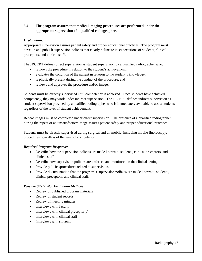# **5.4 The program assures that medical imaging procedures are performed under the appropriate supervision of a qualified radiographer.**

## *Explanation:*

Appropriate supervision assures patient safety and proper educational practices. The program must develop and publish supervision policies that clearly delineate its expectations of students, clinical preceptors, and clinical staff.

The JRCERT defines direct supervision as student supervision by a qualified radiographer who:

- reviews the procedure in relation to the student's achievement,
- evaluates the condition of the patient in relation to the student's knowledge,
- is physically present during the conduct of the procedure, and
- reviews and approves the procedure and/or image.

Students must be directly supervised until competency is achieved. Once students have achieved competency, they may work under indirect supervision. The JRCERT defines indirect supervision as student supervision provided by a qualified radiographer who is immediately available to assist students regardless of the level of student achievement.

Repeat images must be completed under direct supervision. The presence of a qualified radiographer during the repeat of an unsatisfactory image assures patient safety and proper educational practices.

Students must be directly supervised during surgical and all mobile, including mobile fluoroscopy, procedures regardless of the level of competency.

#### *Required Program Response:*

- Describe how the supervision policies are made known to students, clinical preceptors, and clinical staff.
- Describe how supervision policies are enforced and monitored in the clinical setting.
- Provide policies/procedures related to supervision.
- Provide documentation that the program's supervision policies are made known to students, clinical preceptors, and clinical staff.

- Review of published program materials
- Review of student records
- Review of meeting minutes
- Interviews with faculty
- Interviews with clinical preceptor(s)
- Interviews with clinical staff
- Interviews with students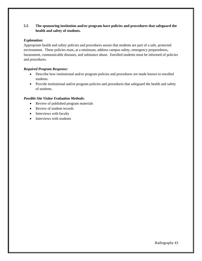# **5.5 The sponsoring institution and/or program have policies and procedures that safeguard the health and safety of students.**

## *Explanation:*

Appropriate health and safety policies and procedures assure that students are part of a safe, protected environment. These policies must, at a minimum, address campus safety, emergency preparedness, harassment, communicable diseases, and substance abuse. Enrolled students must be informed of policies and procedures.

# *Required Program Response:*

- Describe how institutional and/or program policies and procedures are made known to enrolled students.
- Provide institutional and/or program policies and procedures that safeguard the health and safety of students.

- Review of published program materials
- Review of student records
- Interviews with faculty
- Interviews with students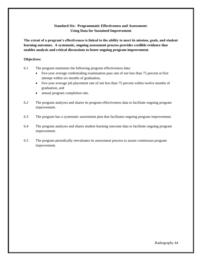# **Standard Six: Programmatic Effectiveness and Assessment: Using Data for Sustained Improvement**

**The extent of a program's effectiveness is linked to the ability to meet its mission, goals, and student learning outcomes. A systematic, ongoing assessment process provides credible evidence that enables analysis and critical discussions to foster ongoing program improvement.** 

#### **Objectives:**

- 6.1 The program maintains the following program effectiveness data:
	- five-year average credentialing examination pass rate of not less than 75 percent at first attempt within six months of graduation,
	- five-year average job placement rate of not less than 75 percent within twelve months of graduation, and
	- annual program completion rate.
- 6.2 The program analyzes and shares its program effectiveness data to facilitate ongoing program improvement.
- 6.3 The program has a systematic assessment plan that facilitates ongoing program improvement.
- 6.4 The program analyzes and shares student learning outcome data to facilitate ongoing program improvement.
- 6.5 The program periodically reevaluates its assessment process to assure continuous program improvement.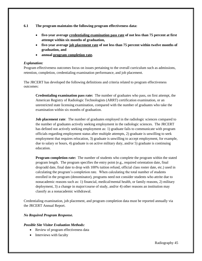**6.1 The program maintains the following program effectiveness data:** 

- **five-year average credentialing examination pass rate of not less than 75 percent at first attempt within six months of graduation,**
- **five-year average job placement rate of not less than 75 percent within twelve months of graduation, and**
- **annual program completion rate.**

#### *Explanation:*

Program effectiveness outcomes focus on issues pertaining to the overall curriculum such as admissions, retention, completion, credentialing examination performance, and job placement.

The JRCERT has developed the following definitions and criteria related to program effectiveness outcomes:

**Credentialing examination pass rate:** The number of graduates who pass, on first attempt, the American Registry of Radiologic Technologists (ARRT) certification examination, or an unrestricted state licensing examination, compared with the number of graduates who take the examination within six months of graduation.

**Job placement rate**: The number of graduates employed in the radiologic sciences compared to the number of graduates actively seeking employment in the radiologic sciences. The JRCERT has defined not actively seeking employment as: 1) graduate fails to communicate with program officials regarding employment status after multiple attempts, 2) graduate is unwilling to seek employment that requires relocation, 3) graduate is unwilling to accept employment, for example, due to salary or hours, 4) graduate is on active military duty, and/or 5) graduate is continuing education.

**Program completion rate:** The number of students who complete the program within the stated program length. The program specifies the entry point (e.g., required orientation date, final drop/add date, final date to drop with 100% tuition refund, official class roster date, etc.) used in calculating the program's completion rate. When calculating the total number of students enrolled in the program (denominator), programs need not consider students who attrite due to nonacademic reasons such as: 1) financial, medical/mental health, or family reasons, 2) military deployment, 3) a change in major/course of study, and/or 4) other reasons an institution may classify as a nonacademic withdrawal.

Credentialing examination, job placement, and program completion data must be reported annually via the JRCERT Annual Report.

# *No Required Program Response.*

- Review of program effectiveness data
- Interviews with faculty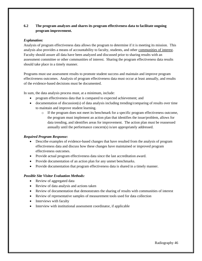# **6.2 The program analyzes and shares its program effectiveness data to facilitate ongoing program improvement.**

#### *Explanation:*

Analysis of program effectiveness data allows the program to determine if it is meeting its mission. This analysis also provides a means of accountability to faculty, students, and other communities of interest. Faculty should assure all data have been analyzed and discussed prior to sharing results with an assessment committee or other communities of interest. Sharing the program effectiveness data results should take place in a timely manner.

Programs must use assessment results to promote student success and maintain and improve program effectiveness outcomes. Analysis of program effectiveness data must occur at least annually, and results of the evidence-based decisions must be documented.

In sum, the data analysis process must, at a minimum, include:

- program effectiveness data that is compared to expected achievement; and
- documentation of discussion(s) of data analysis including trending/comparing of results over time to maintain and improve student learning.
	- o If the program does not meet its benchmark for a specific program effectiveness outcome, the program must implement an action plan that identifies the issue/problem, allows for data trending, and identifies areas for improvement. The action plan must be reassessed annually until the performance concern(s) is/are appropriately addressed.

#### *Required Program Response:*

- Describe examples of evidence-based changes that have resulted from the analysis of program effectiveness data and discuss how these changes have maintained or improved program effectiveness outcomes.
- Provide actual program effectiveness data since the last accreditation award.
- Provide documentation of an action plan for any unmet benchmarks.
- Provide documentation that program effectiveness data is shared in a timely manner.

- Review of aggregated data
- Review of data analysis and actions taken
- Review of documentation that demonstrates the sharing of results with communities of interest
- Review of representative samples of measurement tools used for data collection
- Interviews with faculty
- Interview with institutional assessment coordinator, if applicable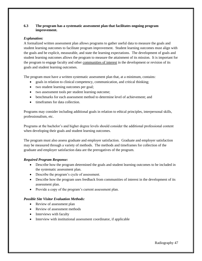## **6.3 The program has a systematic assessment plan that facilitates ongoing program improvement.**

## *Explanation:*

A formalized written assessment plan allows programs to gather useful data to measure the goals and student learning outcomes to facilitate program improvement. Student learning outcomes must align with the goals and be explicit, measurable, and state the learning expectations. The development of goals and student learning outcomes allows the program to measure the attainment of its mission. It is important for the program to engage faculty and other communities of interest in the development or revision of its goals and student learning outcomes.

The program must have a written systematic assessment plan that, at a minimum, contains:

- goals in relation to clinical competency, communication, and critical thinking;
- two student learning outcomes per goal;
- two assessment tools per student learning outcome;
- benchmarks for each assessment method to determine level of achievement; and
- timeframes for data collection.

Programs may consider including additional goals in relation to ethical principles, interpersonal skills, professionalism, etc.

Programs at the bachelor's and higher degree levels should consider the additional professional content when developing their goals and student learning outcomes.

The program must also assess graduate and employer satisfaction. Graduate and employer satisfaction may be measured through a variety of methods. The methods and timeframes for collection of the graduate and employer satisfaction data are the prerogatives of the program.

# *Required Program Response:*

- Describe how the program determined the goals and student learning outcomes to be included in the systematic assessment plan.
- Describe the program's cycle of assessment.
- Describe how the program uses feedback from communities of interest in the development of its assessment plan.
- Provide a copy of the program's current assessment plan.

- Review of assessment plan
- Review of assessment methods
- Interviews with faculty
- Interview with institutional assessment coordinator, if applicable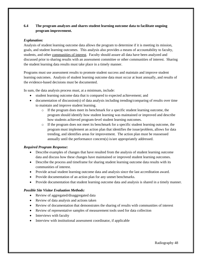# **6.4 The program analyzes and shares student learning outcome data to facilitate ongoing program improvement.**

#### *Explanation:*

Analysis of student learning outcome data allows the program to determine if it is meeting its mission, goals, and student learning outcomes. This analysis also provides a means of accountability to faculty, students, and other communities of interest. Faculty should assure all data have been analyzed and discussed prior to sharing results with an assessment committee or other communities of interest. Sharing the student learning data results must take place in a timely manner.

Programs must use assessment results to promote student success and maintain and improve student learning outcomes. Analysis of student learning outcome data must occur at least annually, and results of the evidence-based decisions must be documented.

In sum, the data analysis process must, at a minimum, include:

- student learning outcome data that is compared to expected achievement; and
- documentation of discussion(s) of data analysis including trending/comparing of results over time to maintain and improve student learning.
	- $\circ$  If the program does meet its benchmark for a specific student learning outcome, the program should identify how student learning was maintained or improved and describe how students achieved program-level student learning outcomes.
	- o If the program does not meet its benchmark for a specific student learning outcome, the program must implement an action plan that identifies the issue/problem, allows for data trending, and identifies areas for improvement. The action plan must be reassessed annually until the performance concern(s) is/are appropriately addressed.

# *Required Program Response:*

- Describe examples of changes that have resulted from the analysis of student learning outcome data and discuss how these changes have maintained or improved student learning outcomes.
- Describe the process and timeframe for sharing student learning outcome data results with its communities of interest.
- Provide actual student learning outcome data and analysis since the last accreditation award.
- Provide documentation of an action plan for any unmet benchmarks.
- Provide documentation that student learning outcome data and analysis is shared in a timely manner.

- Review of aggregated/disaggregated data
- Review of data analysis and actions taken
- Review of documentation that demonstrates the sharing of results with communities of interest
- Review of representative samples of measurement tools used for data collection
- Interviews with faculty
- Interview with institutional assessment coordinator, if applicable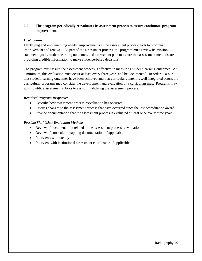# **6.5 The program periodically reevaluates its assessment process to assure continuous program improvement.**

#### *Explanation:*

Identifying and implementing needed improvements in the assessment process leads to program improvement and renewal. As part of the assessment process, the program must review its mission statement, goals, student learning outcomes, and assessment plan to assure that assessment methods are providing credible information to make evidence-based decisions.

The program must assure the assessment process is effective in measuring student learning outcomes. At a minimum, this evaluation must occur at least every three years and be documented. In order to assure that student learning outcomes have been achieved and that curricular content is well-integrated across the curriculum, programs may consider the development and evaluation of a curriculum map. Programs may wish to utilize assessment rubrics to assist in validating the assessment process.

## *Required Program Response:*

- Describe how assessment process reevaluation has occurred.
- Discuss changes to the assessment process that have occurred since the last accreditation award.
- Provide documentation that the assessment process is evaluated at least once every three years.

- Review of documentation related to the assessment process reevaluation
- Review of curriculum mapping documentation, if applicable
- Interviews with faculty
- Interview with institutional assessment coordinator, if applicable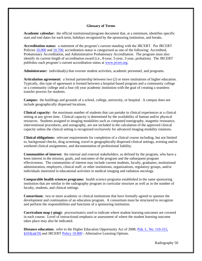#### **Glossary of Terms**

**Academic calendar:** the official institutional/program document that, at a minimum, identifies specific start and end dates for each term, holidays recognized by the sponsoring institution, and breaks.

**Accreditation status:** a statement of the program's current standing with the JRCERT. Per JRCERT Policies [10.000](https://www.jrcert.org/resources/governance/accreditation-policies/10-000/) and [10.700,](https://www.jrcert.org/resources/governance/accreditation-policies/10-700/) accreditation status is categorized as one of the following: Accredited, Probationary Accreditation, and Administrative Probationary Accreditation. The program must also identify its current length of accreditation award (i.e., 8-year, 5-year, 3-year, probation). The JRCERT publishes each program's current accreditation status at [www.jrcert.org.](http://www.jrcert.org/)

**Administrator:** individual(s) that oversee student activities, academic personnel, and programs.

**Articulation agreement:** a formal partnership between two (2) or more institutions of higher education. Typically, this type of agreement is formed between a hospital-based program and a community college or a community college and a four (4) year academic institution with the goal of creating a seamless transfer process for students.

**Campus:** the buildings and grounds of a school, college, university, or hospital. A campus does not include geographically dispersed locations.

**Clinical capacity:** the maximum number of students that can partake in clinical experiences at a clinical setting at any given time. Clinical capacity is determined by the availability of human and/or physical resources. Students assigned to imaging modalities such as computed tomography, magnetic resonance, interventional procedures, and sonography, are not included in the calculation of the approved clinical capacity unless the clinical setting is recognized exclusively for advanced imaging modality rotations.

**Clinical obligations:** relevant requirements for completion of a clinical course including, but not limited to, background checks, drug screening, travel to geographically dispersed clinical settings, evening and/or weekend clinical assignments, and documentation of professional liability.

**Communities of interest:** the internal and external stakeholders, as defined by the program, who have a keen interest in the mission, goals, and outcomes of the program and the subsequent program effectiveness. The communities of interest may include current students, faculty, graduates, institutional administration, employers, clinical staff, or other institutions, organizations, regulatory groups, and/or individuals interested in educational activities in medical imaging and radiation oncology.

**Comparable health sciences programs:** health science programs established in the same sponsoring institution that are similar to the radiography program in curricular structure as well as in the number of faculty, students, and clinical settings.

**Consortium:** two or more academic or clinical institutions that have formally agreed to sponsor the development and continuation of an education program. A consortium must be structured to recognize and perform the responsibilities and functions of a sponsoring institution.

**Curriculum map (-ping):** process**/**matrix used to indicate where student learning outcomes are covered in each course. Level of instructional emphasis or assessment of where the student learning outcome takes place may also be indicated.

**Distance education:** refer to the Higher Education Opportunity Act of 2008, [Pub. L. No. 110-315,](https://www.gpo.gov/fdsys/pkg/PLAW-110publ315/content-detail.html)  [§103\(a\)\(19\)](https://www.gpo.gov/fdsys/pkg/PLAW-110publ315/content-detail.html) and JRCERT [Policy 10.800](https://www.jrcert.org/resources/governance/accreditation-policies/10-800/) - Alternative Learning Options.

Radiography 50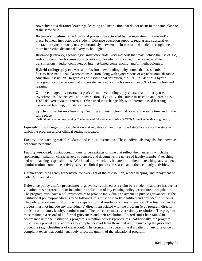**Asynchronous distance learning:** learning and instruction that do not occur in the same place or at the same time.

**Distance education:** an educational process characterized by the separation, in time and/or place, between instructor and student. Distance education supports regular and substantive interaction synchronously or asynchronously between the instructor and student through one or more interactive distance delivery technologies.

**Distance (Delivery) technology:** instructional/delivery methods that may include the use of TV, audio, or computer transmissions (broadcast, closed-circuit, cable, microwave, satellite transmissions); audio, computer, or Internet-based conferencing; and/or methodologies.

**Hybrid radiography course:** a professional level radiography course that uses a mix of face-to-face traditional classroom instruction along with synchronous or asynchronous distance education instruction. Regardless of institutional definition, the JRCERT defines a hybrid radiography course as one that utilizes distance education for more than 50% of instruction and learning.

**Online radiography course:** a professional level radiography course that primarily uses asynchronous distance education instruction. Typically, the course instruction and learning is 100% delivered via the Internet. Often used interchangeably with Internet-based learning, web-based learning, or distance learning.

**Synchronous distance learning:** learning and instruction that occur at the same time and in the same place.

[Definitions based on Accrediting Commission of Education in Nursing (ACEN) Accreditation Manual glossary]

**Equivalent:** with regards to certification and registration, an unrestricted state license for the state in which the program and/or clinical setting is located.

Faculty: the teaching staff for didactic and clinical instruction. These individuals may also be known as academic personnel.

**Faculty workload**: contact/credit hours or percentages of time that reflect the manner in which the sponsoring institution characterizes, structures, and documents the nature of faculty members' teaching and non-teaching responsibilities. Workload duties include, but are not limited to, teaching, advisement, administration, committee activity, service, clinical practice, research, and other scholarly activities.

**Gatekeeper:** the agency responsible for oversight of the distribution, record keeping, and repayment of Title IV financial aid.

**Grievance policy and/or procedure:** a grievance is defined as a claim by a student that there has been a violation, misinterpretation, or inequitable application of any existing policy, procedure, or regulation. The program must have a policy/procedure to provide individuals an avenue to pursue grievances. If the institutional policy/procedure is to be followed, this must be clearly identified and provided to students. The policy/procedure must outline the steps for formal resolution of any grievance. The final step in the process must not include any individual(s) directly associated with the program (e.g., program director, clinical coordinator, faculty, administrator). The procedure must assure timely resolution. The program must maintain a record of all formal grievances and their resolution. Records must be retained in accordance with the institution's/program's retention policies/procedures. Additionally, the program must have a procedure to address any complaints apart from those that require invoking the grievance procedure (e.g., cleanliness of classroom). The program must determine if a pattern of any grievance or complaint exists that could negatively affect the quality of the educational program.

Radiography 51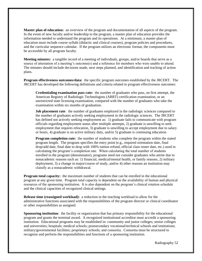**Master plan of education:** an overview of the program and documentation of all aspects of the program. In the event of new faculty and/or leadership to the program, a master plan of education provides the information needed to understand the program and its operations. At a minimum, a master plan of education must include course syllabi (didactic and clinical courses), program policies and procedures, and the curricular sequence calendar. If the program utilizes an electronic format, the components must be accessible by all program faculty.

**Meeting minutes:** a tangible record of a meeting of individuals, groups, and/or boards that serve as a source of attestation of a meeting's outcome(s) and a reference for members who were unable to attend. The minutes should include decisions made, next steps planned, and identification and tracking of action plans.

**Program effectiveness outcomes/data:** the specific program outcomes established by the JRCERT. The JRCERT has developed the following definitions and criteria related to program effectiveness outcomes:

**Credentialing examination pass rate:** the number of graduates who pass, on first attempt, the American Registry of Radiologic Technologists (ARRT) certification examination, or an unrestricted state licensing examination, compared with the number of graduates who take the examination within six months of graduation.

**Job placement rate**: the number of graduates employed in the radiologic sciences compared to the number of graduates actively seeking employment in the radiologic sciences. The JRCERT has defined not actively seeking employment as: 1) graduate fails to communicate with program officials regarding employment status after multiple attempts, 2) graduate is unwilling to seek employment that requires relocation, 3) graduate is unwilling to accept employment due to salary or hours, 4) graduate is on active military duty, and/or 5) graduate is continuing education.

**Program completion rate:** the number of students who complete the program within the stated program length. The program specifies the entry point  $(e.g., required orientation date, final)$ drop/add date, final date to drop with 100% tuition refund, official class roster date, etc.) used in calculating the program's completion rate. When calculating the total number of students enrolled in the program (denominator), programs need not consider graduates who attrite due to nonacademic reasons such as: 1) financial, medical/mental health, or family reasons, 2) military deployment, 3) a change in major/course of study, and/or 4) other reasons an institution may classify as a nonacademic withdrawal.

**Program total capacity:** the maximum number of students that can be enrolled in the educational program at any given time. Program total capacity is dependent on the availability of human and physical resources of the sponsoring institution. It is also dependent on the program's clinical rotation schedule and the clinical capacities of recognized clinical settings.

**Release time (reassigned workload):** a reduction in the teaching workload to allow for the administrative functions associated with the responsibilities of the program director or clinical coordinator or other responsibilities as assigned.

**Sponsoring institution**: the facility or organization that has primary responsibility for the educational program and grants the terminal award. A recognized institutional accreditor must accredit a sponsoring institution. Educational programs may be established in: community and junior colleges; senior colleges and universities; hospitals; medical schools; postsecondary vocational/technical schools and institutions; military/governmental facilities; proprietary schools; and consortia. Consortia must be structured to recognize and perform the responsibilities and functions of a sponsoring institution.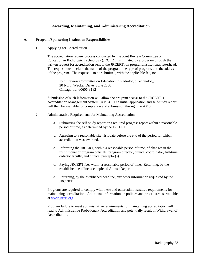# **Awarding, Maintaining, and Administering Accreditation**

#### **A. Program/Sponsoring Institution Responsibilities**

1. Applying for Accreditation

The accreditation review process conducted by the Joint Review Committee on Education in Radiologic Technology (JRCERT) is initiated by a program through the written request for accreditation sent to the JRCERT, on program/institutional letterhead. The request must include the name of the program, the type of program, and the address of the program. The request is to be submitted, with the applicable fee, to:

Joint Review Committee on Education in Radiologic Technology 20 North Wacker Drive, Suite 2850 Chicago, IL 60606-3182

Submission of such information will allow the program access to the JRCERT's Accreditation Management System (AMS). The initial application and self-study report will then be available for completion and submission through the AMS.

- 2. Administrative Requirements for Maintaining Accreditation
	- a. Submitting the self-study report or a required progress report within a reasonable period of time, as determined by the JRCERT.
	- b. Agreeing to a reasonable site visit date before the end of the period for which accreditation was awarded.
	- c. Informing the JRCERT, within a reasonable period of time, of changes in the institutional or program officials, program director, clinical coordinator, full-time didactic faculty, and clinical preceptor(s).
	- d. Paying JRCERT fees within a reasonable period of time. Returning, by the established deadline, a completed Annual Report.
	- e. Returning, by the established deadline, any other information requested by the JRCERT.

Programs are required to comply with these and other administrative requirements for maintaining accreditation. Additional information on policies and procedures is available at [www.jrcert.org.](http://www.jrcert.org/)

Program failure to meet administrative requirements for maintaining accreditation will lead to Administrative Probationary Accreditation and potentially result in Withdrawal of **Accreditation**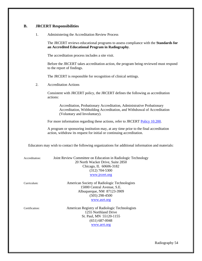# **B. JRCERT Responsibilities**

1. Administering the Accreditation Review Process

The JRCERT reviews educational programs to assess compliance with the **Standards for an Accredited Educational Program in Radiography**.

The accreditation process includes a site visit.

Before the JRCERT takes accreditation action, the program being reviewed must respond to the report of findings.

The JRCERT is responsible for recognition of clinical settings.

2. Accreditation Actions

Consistent with JRCERT policy, the JRCERT defines the following as accreditation actions:

Accreditation, Probationary Accreditation, Administrative Probationary Accreditation, Withholding Accreditation, and Withdrawal of Accreditation (Voluntary and Involuntary).

For more information regarding these actions, refer to JRCERT [Policy 10.200.](https://www.jrcert.org/resources/governance/accreditation-policies/10-200/)

A program or sponsoring institution may, at any time prior to the final accreditation action, withdraw its request for initial or continuing accreditation.

Educators may wish to contact the following organizations for additional information and materials:

| Accreditation: | Joint Review Committee on Education in Radiologic Technology<br>20 North Wacker Drive, Suite 2850<br>Chicago, IL 60606-3182<br>$(312)$ 704-5300<br>www.jrcert.org |
|----------------|-------------------------------------------------------------------------------------------------------------------------------------------------------------------|
| Curriculum:    | American Society of Radiologic Technologists<br>15000 Central Avenue, S.E.<br>Albuquerque, NM 87123-3909<br>$(505)$ 298-4500<br>www.asrt.org                      |
| Certification: | American Registry of Radiologic Technologists<br>1255 Northland Drive<br>St. Paul, MN 55120-1155<br>$(651) 687 - 0048$                                            |

[www.arrt.org](http://www.arrt.org/)

Radiography 54